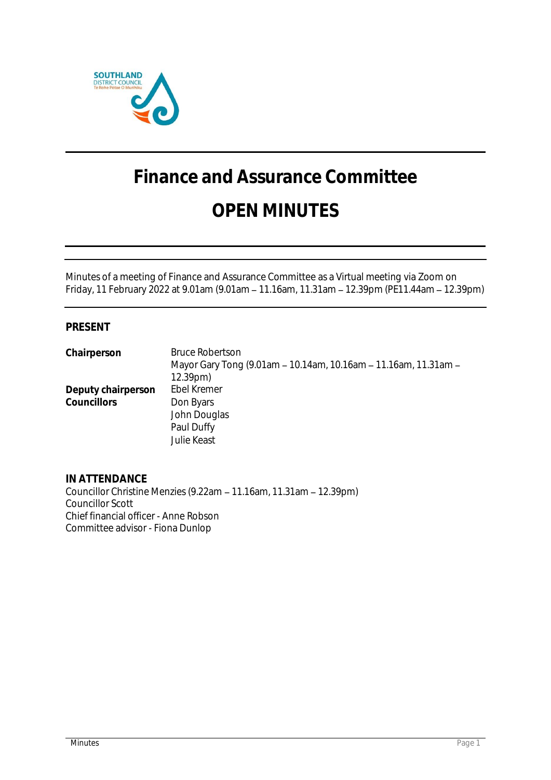

# **Finance and Assurance Committee OPEN MINUTES**

Minutes of a meeting of Finance and Assurance Committee as a Virtual meeting via Zoom on Friday, 11 February 2022 at 9.01am (9.01am 11.16am, 11.31am 12.39pm (PE11.44am 12.39pm)

# **PRESENT**

**Chairperson** Bruce Robertson Mayor Gary Tong (9.01am - 10.14am, 10.16am - 11.16am, 11.31am -12.39pm) **Deputy chairperson** Ebel Kremer<br>Councillors **Don Byars** Councillors John Douglas Paul Duffy Julie Keast

**IN ATTENDANCE** Councillor Christine Menzies (9.22am - 11.16am, 11.31am - 12.39pm) Councillor Scott Chief financial officer - Anne Robson Committee advisor - Fiona Dunlop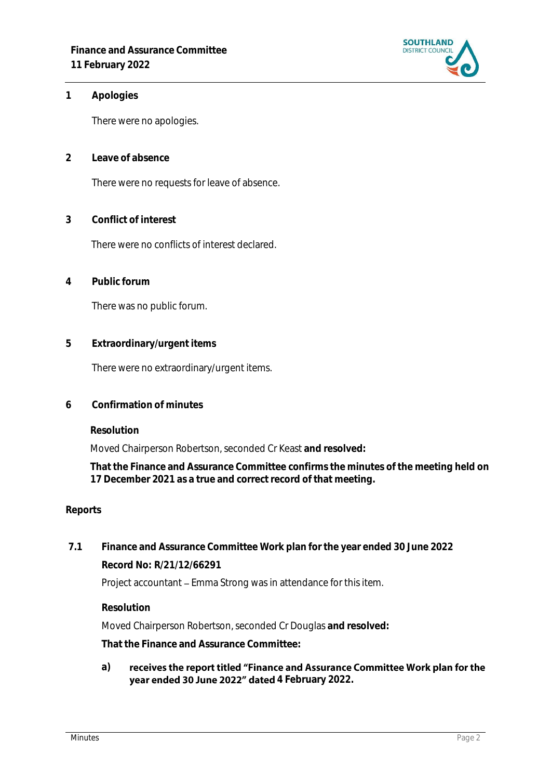

## **1 Apologies**

There were no apologies.

**2 Leave of absence** 

There were no requests for leave of absence.

**3 Conflict of interest**

There were no conflicts of interest declared.

**4 Public forum**

There was no public forum.

**5 Extraordinary/urgent items**

There were no extraordinary/urgent items.

**6 Confirmation of minutes**

**Resolution**

Moved Chairperson Robertson, seconded Cr Keast **and resolved:**

**That the Finance and Assurance Committee confirms the minutes of the meeting held on 17 December 2021 as a true and correct record of that meeting.**

#### **Reports**

**7.1 Finance and Assurance Committee Work plan for the year ended 30 June 2022 Record No: R/21/12/66291**

Project accountant – Emma Strong was in attendance for this item.

**Resolution**

Moved Chairperson Robertson, seconded Cr Douglas **and resolved:**

**That the Finance and Assurance Committee:**

**a)** receives the report titled "Finance and Assurance Committee Work plan for the year ended 30 June 2022" dated 4 February 2022.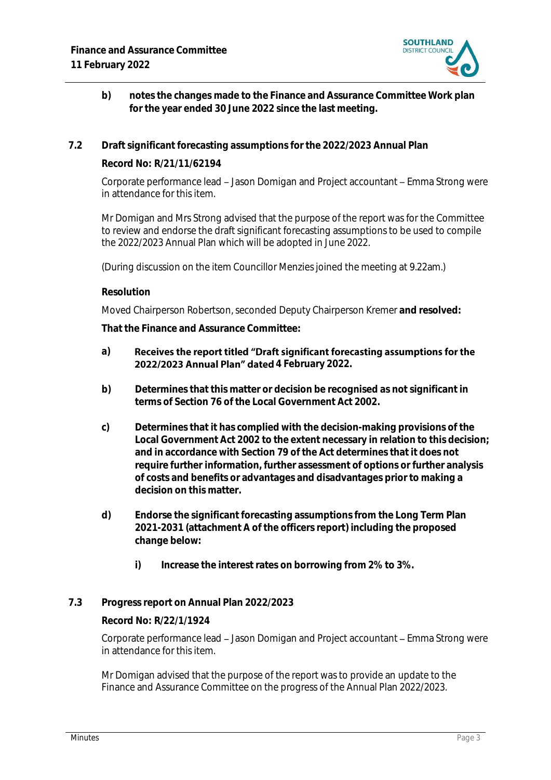

- **b) notes the changes made to the Finance and Assurance Committee Work plan for the year ended 30 June 2022 since the last meeting.**
- **7.2 Draft significant forecasting assumptions for the 2022/2023 Annual Plan**

**Record No: R/21/11/62194**

Corporate performance lead – Jason Domigan and Project accountant – Emma Strong were in attendance for this item.

Mr Domigan and Mrs Strong advised that the purpose of the report was for the Committee to review and endorse the draft significant forecasting assumptions to be used to compile the 2022/2023 Annual Plan which will be adopted in June 2022.

(During discussion on the item Councillor Menzies joined the meeting at 9.22am.)

#### **Resolution**

Moved Chairperson Robertson, seconded Deputy Chairperson Kremer **and resolved:**

**That the Finance and Assurance Committee:**

#### **a)** Receives the report titled "Draft significant forecasting assumptions for the 2022/2023 Annual Plan" dated 4 February 2022.

- **b) Determines that this matter or decision be recognised as not significant in terms of Section 76 of the Local Government Act 2002.**
- **c) Determines that it has complied with the decision-making provisions of the Local Government Act 2002 to the extent necessary in relation to this decision; and in accordance with Section 79 of the Act determines that it does not require further information, further assessment of options or further analysis of costs and benefits or advantages and disadvantages prior to making a decision on this matter.**
- **d) Endorse the significant forecasting assumptions from the Long Term Plan 2021-2031 (attachment A of the officers report) including the proposed change below:**
	- **i) Increase the interest rates on borrowing from 2% to 3%.**

# **7.3 Progress report on Annual Plan 2022/2023**

# **Record No: R/22/1/1924**

Corporate performance lead - Jason Domigan and Project accountant - Emma Strong were in attendance for this item.

Mr Domigan advised that the purpose of the report was to provide an update to the Finance and Assurance Committee on the progress of the Annual Plan 2022/2023.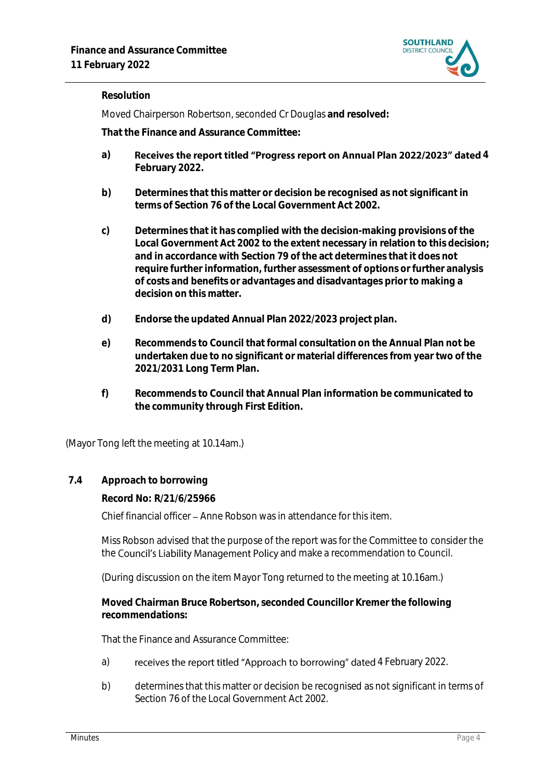

# **Resolution**

Moved Chairperson Robertson, seconded Cr Douglas **and resolved:**

**That the Finance and Assurance Committee:**

- a) Receives the report titled "Progress report on Annual Plan 2022/2023" dated 4 **February 2022.**
- **b) Determines that this matter or decision be recognised as not significant in terms of Section 76 of the Local Government Act 2002.**
- **c) Determines that it has complied with the decision-making provisions of the Local Government Act 2002 to the extent necessary in relation to this decision; and in accordance with Section 79 of the act determines that it does not require further information, further assessment of options or further analysis of costs and benefits or advantages and disadvantages prior to making a decision on this matter.**
- **d) Endorse the updated Annual Plan 2022/2023 project plan.**
- **e) Recommends to Council that formal consultation on the Annual Plan not be undertaken due to no significant or material differences from year two of the 2021/2031 Long Term Plan.**
- **f) Recommends to Council that Annual Plan information be communicated to the community through First Edition.**

(Mayor Tong left the meeting at 10.14am.)

### **7.4 Approach to borrowing**

**Record No: R/21/6/25966**

Chief financial officer - Anne Robson was in attendance for this item.

Miss Robson advised that the purpose of the report was for the Committee to consider the the Council's Liability Management Policy and make a recommendation to Council.

(During discussion on the item Mayor Tong returned to the meeting at 10.16am.)

**Moved Chairman Bruce Robertson, seconded Councillor Kremer the following recommendations:**

That the Finance and Assurance Committee:

- a) receives the report titled "Approach to borrowing" dated 4 February 2022.
- b) determines that this matter or decision be recognised as not significant in terms of Section 76 of the Local Government Act 2002.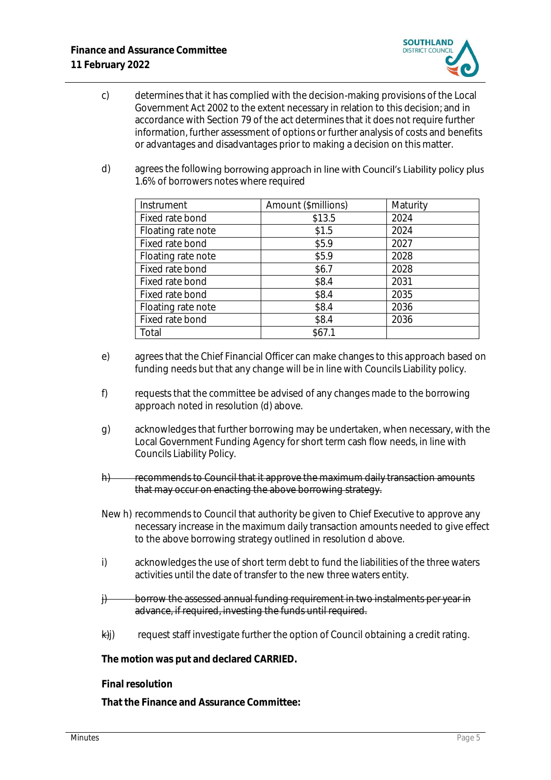

- c) determines that it has complied with the decision-making provisions of the Local Government Act 2002 to the extent necessary in relation to this decision; and in accordance with Section 79 of the act determines that it does not require further information, further assessment of options or further analysis of costs and benefits or advantages and disadvantages prior to making a decision on this matter.
- d) agrees the following borrowing approach in line with Council's Liability policy plus 1.6% of borrowers notes where required

| Instrument         | Amount (\$millions) | Maturity |
|--------------------|---------------------|----------|
| Fixed rate bond    | \$13.5              | 2024     |
| Floating rate note | \$1.5               | 2024     |
| Fixed rate bond    | \$5.9               | 2027     |
| Floating rate note | \$5.9               | 2028     |
| Fixed rate bond    | \$6.7               | 2028     |
| Fixed rate bond    | \$8.4               | 2031     |
| Fixed rate bond    | \$8.4               | 2035     |
| Floating rate note | \$8.4               | 2036     |
| Fixed rate bond    | \$8.4               | 2036     |
| Total              | \$67.1              |          |

- e) agrees that the Chief Financial Officer can make changes to this approach based on funding needs but that any change will be in line with Councils Liability policy.
- f) requests that the committee be advised of any changes made to the borrowing approach noted in resolution (d) above.
- g) acknowledges that further borrowing may be undertaken, when necessary, with the Local Government Funding Agency for short term cash flow needs, in line with Councils Liability Policy.
- h) recommends to Council that it approve the maximum daily transaction amounts that may occur on enacting the above borrowing strategy.
- New h) recommends to Council that authority be given to Chief Executive to approve any necessary increase in the maximum daily transaction amounts needed to give effect to the above borrowing strategy outlined in resolution d above.
- i) acknowledges the use of short term debt to fund the liabilities of the three waters activities until the date of transfer to the new three waters entity.
- $\mathcal{H}$  borrow the assessed annual funding requirement in two instalments per year in advance, if required, investing the funds until required.
- $\forall$ i) request staff investigate further the option of Council obtaining a credit rating.

**The motion was put and declared CARRIED.**

**Final resolution**

**That the Finance and Assurance Committee:**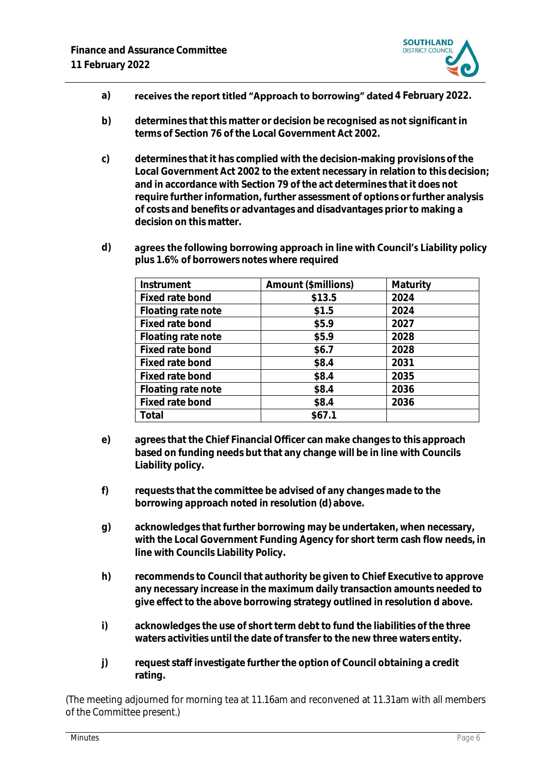

- a) **the catacage of the report titled "Approach to borrowing" dated 4 February 2022.**
- **b) determines that this matter or decision be recognised as not significant in terms of Section 76 of the Local Government Act 2002.**
- **c) determines that it has complied with the decision-making provisions of the Local Government Act 2002 to the extent necessary in relation to this decision; and in accordance with Section 79 of the act determines that it does not require further information, further assessment of options or further analysis of costs and benefits or advantages and disadvantages prior to making a decision on this matter.**
- **d)** agrees the following borrowing approach in line with Council's Liability policy **plus 1.6% of borrowers notes where required**

| Instrument         | Amount (\$millions) | Maturity |
|--------------------|---------------------|----------|
| Fixed rate bond    | \$13.5              | 2024     |
| Floating rate note | \$1.5               | 2024     |
| Fixed rate bond    | \$5.9               | 2027     |
| Floating rate note | \$5.9               | 2028     |
| Fixed rate bond    | \$6.7               | 2028     |
| Fixed rate bond    | \$8.4               | 2031     |
| Fixed rate bond    | \$8.4               | 2035     |
| Floating rate note | \$8.4               | 2036     |
| Fixed rate bond    | \$8.4               | 2036     |
| Total              | \$67.1              |          |

- **e) agrees that the Chief Financial Officer can make changes to this approach based on funding needs but that any change will be in line with Councils Liability policy.**
- **f) requests that the committee be advised of any changes made to the borrowing approach noted in resolution (d) above.**
- **g) acknowledges that further borrowing may be undertaken, when necessary, with the Local Government Funding Agency for short term cash flow needs, in line with Councils Liability Policy.**
- **h) recommends to Council that authority be given to Chief Executive to approve any necessary increase in the maximum daily transaction amounts needed to give effect to the above borrowing strategy outlined in resolution d above.**
- **i) acknowledges the use of short term debt to fund the liabilities of the three waters activities until the date of transfer to the new three waters entity.**
- **j) request staff investigate further the option of Council obtaining a credit rating.**

(The meeting adjourned for morning tea at 11.16am and reconvened at 11.31am with all members of the Committee present.)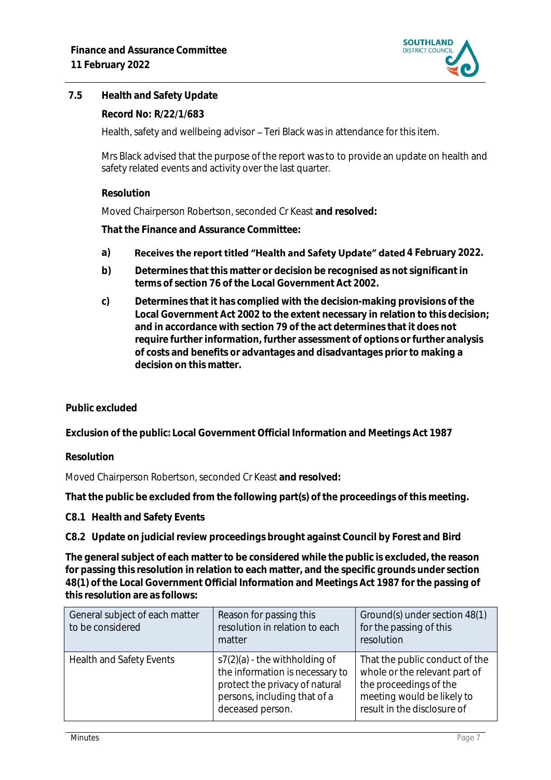

# **7.5 Health and Safety Update**

**Record No: R/22/1/683**

Health, safety and wellbeing advisor - Teri Black was in attendance for this item.

Mrs Black advised that the purpose of the report was to to provide an update on health and safety related events and activity over the last quarter.

## **Resolution**

Moved Chairperson Robertson, seconded Cr Keast **and resolved:**

**That the Finance and Assurance Committee:**

- a) Receives the report titled "Health and Safety Update" dated 4 February 2022.
- **b) Determines that this matter or decision be recognised as not significant in terms of section 76 of the Local Government Act 2002.**
- **c) Determines that it has complied with the decision-making provisions of the Local Government Act 2002 to the extent necessary in relation to this decision; and in accordance with section 79 of the act determines that it does not require further information, further assessment of options or further analysis of costs and benefits or advantages and disadvantages prior to making a decision on this matter.**

# **Public excluded**

**Exclusion of the public: Local Government Official Information and Meetings Act 1987**

#### **Resolution**

Moved Chairperson Robertson, seconded Cr Keast **and resolved:**

**That the public be excluded from the following part(s) of the proceedings of this meeting.**

#### **C8.1 Health and Safety Events**

**C8.2 Update on judicial review proceedings brought against Council by Forest and Bird**

**The general subject of each matter to be considered while the public is excluded, the reason for passing this resolution in relation to each matter, and the specific grounds under section 48(1) of the Local Government Official Information and Meetings Act 1987 for the passing of this resolution are as follows:**

| General subject of each matter<br>to be considered | Reason for passing this<br>resolution in relation to each<br>matter                                                                                      | Ground(s) under section 48(1)<br>for the passing of this<br>resolution                                                                                 |
|----------------------------------------------------|----------------------------------------------------------------------------------------------------------------------------------------------------------|--------------------------------------------------------------------------------------------------------------------------------------------------------|
| Health and Safety Events                           | $s7(2)(a)$ - the withholding of<br>the information is necessary to<br>protect the privacy of natural<br>persons, including that of a<br>deceased person. | That the public conduct of the<br>whole or the relevant part of<br>the proceedings of the<br>meeting would be likely to<br>result in the disclosure of |